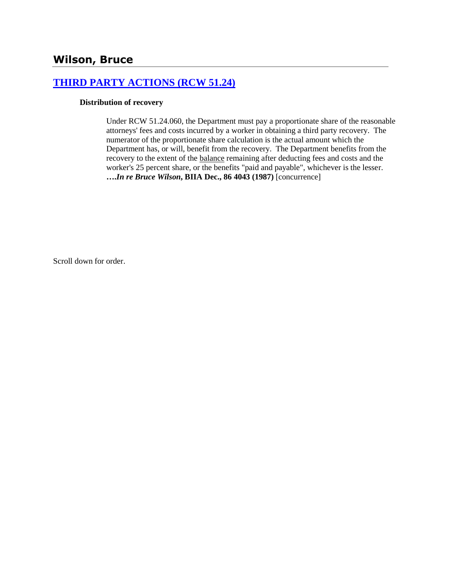# **[THIRD PARTY ACTIONS \(RCW 51.24\)](http://www.biia.wa.gov/SDSubjectIndex.html#THIRD_PARTY_ACTIONS)**

#### **Distribution of recovery**

Under RCW 51.24.060, the Department must pay a proportionate share of the reasonable attorneys' fees and costs incurred by a worker in obtaining a third party recovery. The numerator of the proportionate share calculation is the actual amount which the Department has, or will, benefit from the recovery. The Department benefits from the recovery to the extent of the balance remaining after deducting fees and costs and the worker's 25 percent share, or the benefits "paid and payable", whichever is the lesser. **….***In re Bruce Wilson***, BIIA Dec., 86 4043 (1987)** [concurrence]

Scroll down for order.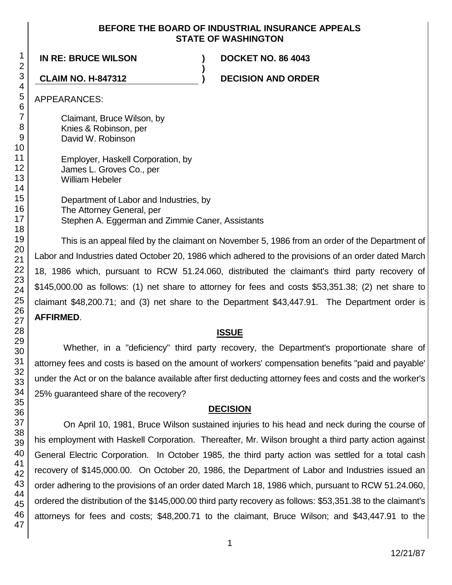#### **BEFORE THE BOARD OF INDUSTRIAL INSURANCE APPEALS STATE OF WASHINGTON**

**)**

**IN RE: BRUCE WILSON ) DOCKET NO. 86 4043**

**CLAIM NO. H-847312 ) DECISION AND ORDER**

APPEARANCES:

Claimant, Bruce Wilson, by Knies & Robinson, per David W. Robinson

Employer, Haskell Corporation, by James L. Groves Co., per William Hebeler

Department of Labor and Industries, by The Attorney General, per Stephen A. Eggerman and Zimmie Caner, Assistants

This is an appeal filed by the claimant on November 5, 1986 from an order of the Department of Labor and Industries dated October 20, 1986 which adhered to the provisions of an order dated March 18, 1986 which, pursuant to RCW 51.24.060, distributed the claimant's third party recovery of \$145,000.00 as follows: (1) net share to attorney for fees and costs \$53,351.38; (2) net share to claimant \$48,200.71; and (3) net share to the Department \$43,447.91. The Department order is **AFFIRMED**.

### **ISSUE**

Whether, in a "deficiency" third party recovery, the Department's proportionate share of attorney fees and costs is based on the amount of workers' compensation benefits "paid and payable' under the Act or on the balance available after first deducting attorney fees and costs and the worker's 25% guaranteed share of the recovery?

# **DECISION**

On April 10, 1981, Bruce Wilson sustained injuries to his head and neck during the course of his employment with Haskell Corporation. Thereafter, Mr. Wilson brought a third party action against General Electric Corporation. In October 1985, the third party action was settled for a total cash recovery of \$145,000.00. On October 20, 1986, the Department of Labor and Industries issued an order adhering to the provisions of an order dated March 18, 1986 which, pursuant to RCW 51.24.060, ordered the distribution of the \$145,000.00 third party recovery as follows: \$53,351.38 to the claimant's attorneys for fees and costs; \$48,200.71 to the claimant, Bruce Wilson; and \$43,447.91 to the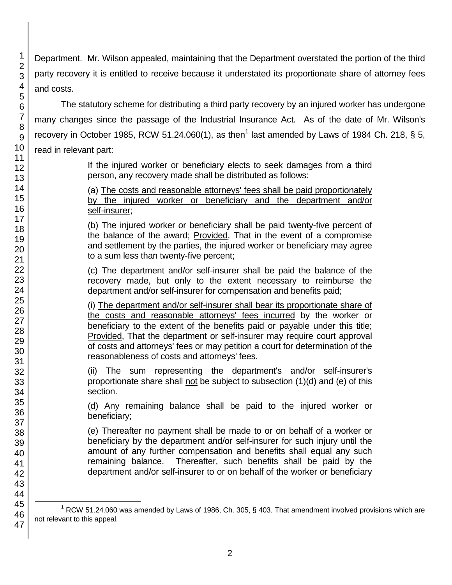Department. Mr. Wilson appealed, maintaining that the Department overstated the portion of the third party recovery it is entitled to receive because it understated its proportionate share of attorney fees and costs.

The statutory scheme for distributing a third party recovery by an injured worker has undergone many changes since the passage of the Industrial Insurance Act. As of the date of Mr. Wilson's recovery in October 1985, RCW 51.24.060(1), as then<sup>1</sup> last amended by Laws of 1984 Ch. 218, § 5, read in relevant part:

> If the injured worker or beneficiary elects to seek damages from a third person, any recovery made shall be distributed as follows:

> (a) The costs and reasonable attorneys' fees shall be paid proportionately by the injured worker or beneficiary and the department and/or self-insurer;

> (b) The injured worker or beneficiary shall be paid twenty-five percent of the balance of the award; Provided, That in the event of a compromise and settlement by the parties, the injured worker or beneficiary may agree to a sum less than twenty-five percent;

> (c) The department and/or self-insurer shall be paid the balance of the recovery made, but only to the extent necessary to reimburse the department and/or self-insurer for compensation and benefits paid;

> (i) The department and/or self-insurer shall bear its proportionate share of the costs and reasonable attorneys' fees incurred by the worker or beneficiary to the extent of the benefits paid or payable under this title; Provided, That the department or self-insurer may require court approval of costs and attorneys' fees or may petition a court for determination of the reasonableness of costs and attorneys' fees.

> (ii) The sum representing the department's and/or self-insurer's proportionate share shall not be subject to subsection (1)(d) and (e) of this section.

> (d) Any remaining balance shall be paid to the injured worker or beneficiary;

> (e) Thereafter no payment shall be made to or on behalf of a worker or beneficiary by the department and/or self-insurer for such injury until the amount of any further compensation and benefits shall equal any such remaining balance. Thereafter, such benefits shall be paid by the department and/or self-insurer to or on behalf of the worker or beneficiary

l  $1$  RCW 51.24.060 was amended by Laws of 1986, Ch. 305, § 403. That amendment involved provisions which are not relevant to this appeal.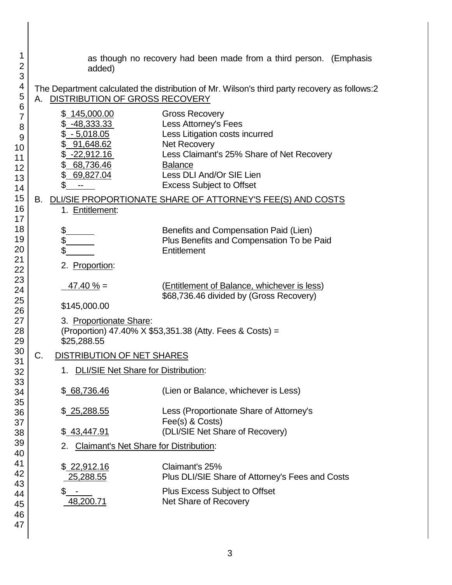| 1<br>$\overline{2}$<br>3                       | added)                                                                                                                                | as though no recovery had been made from a third person. (Emphasis                                                                                                                                                                   |  |
|------------------------------------------------|---------------------------------------------------------------------------------------------------------------------------------------|--------------------------------------------------------------------------------------------------------------------------------------------------------------------------------------------------------------------------------------|--|
| 4<br>5                                         | DISTRIBUTION OF GROSS RECOVERY<br>А.                                                                                                  | The Department calculated the distribution of Mr. Wilson's third party recovery as follows:2                                                                                                                                         |  |
| 6<br>7<br>8<br>9<br>10<br>11<br>12<br>13<br>14 | \$145,000.00<br>-48,333.33<br>\$ <u>-5,018.05</u><br>91,648.62<br><u>-22,912.16</u><br>\$<br>68,736.46<br>\$<br>69,827.04<br>\$<br>-- | <b>Gross Recovery</b><br>Less Attorney's Fees<br>Less Litigation costs incurred<br><b>Net Recovery</b><br>Less Claimant's 25% Share of Net Recovery<br><b>Balance</b><br>Less DLI And/Or SIE Lien<br><b>Excess Subject to Offset</b> |  |
| 15<br>16<br>17                                 | В.<br>1. Entitlement:                                                                                                                 | DLI/SIE PROPORTIONATE SHARE OF ATTORNEY'S FEE(S) AND COSTS                                                                                                                                                                           |  |
| 18<br>19<br>20<br>21<br>22                     | \$<br>\$<br>\$<br>2. Proportion:                                                                                                      | Benefits and Compensation Paid (Lien)<br>Plus Benefits and Compensation To be Paid<br>Entitlement                                                                                                                                    |  |
| 23<br>24<br>25<br>26                           | $47.40 \% =$<br>\$145,000.00                                                                                                          | (Entitlement of Balance, whichever is less)<br>\$68,736.46 divided by (Gross Recovery)                                                                                                                                               |  |
| 27<br>28<br>29                                 | 3. Proportionate Share:<br>(Proportion) 47.40% X \$53,351.38 (Atty. Fees & Costs) =<br>\$25,288.55                                    |                                                                                                                                                                                                                                      |  |
| 30<br>31                                       | <b>DISTRIBUTION OF NET SHARES</b><br>C.                                                                                               |                                                                                                                                                                                                                                      |  |
| 32<br>33                                       | 1. DLI/SIE Net Share for Distribution:                                                                                                |                                                                                                                                                                                                                                      |  |
| 34                                             | \$68,736.46                                                                                                                           | (Lien or Balance, whichever is Less)                                                                                                                                                                                                 |  |
| 35<br>36<br>37                                 | \$25,288.55                                                                                                                           | Less (Proportionate Share of Attorney's<br>Fee(s) & Costs)                                                                                                                                                                           |  |
| 38                                             | <u>\$43,447.91</u>                                                                                                                    | (DLI/SIE Net Share of Recovery)                                                                                                                                                                                                      |  |
| 39<br>40                                       | <b>Claimant's Net Share for Distribution:</b>                                                                                         |                                                                                                                                                                                                                                      |  |
| 41                                             | <u>\$22,912.16</u>                                                                                                                    | Claimant's 25%                                                                                                                                                                                                                       |  |
| 42<br>43                                       | 25,288.55                                                                                                                             | Plus DLI/SIE Share of Attorney's Fees and Costs                                                                                                                                                                                      |  |
| 44<br>45                                       | \$-<br>48,200.71                                                                                                                      | Plus Excess Subject to Offset<br>Net Share of Recovery                                                                                                                                                                               |  |
| 46<br>47                                       |                                                                                                                                       |                                                                                                                                                                                                                                      |  |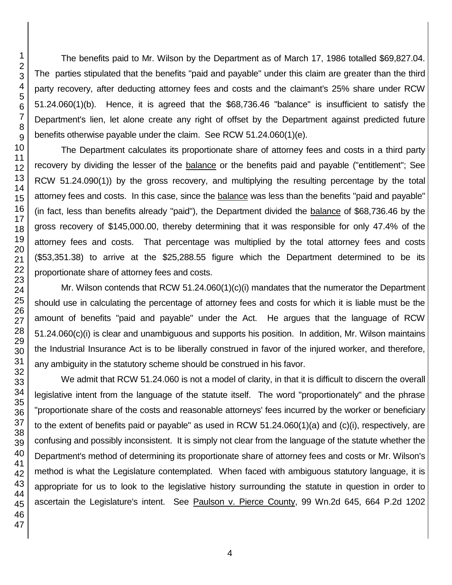The benefits paid to Mr. Wilson by the Department as of March 17, 1986 totalled \$69,827.04. The parties stipulated that the benefits "paid and payable" under this claim are greater than the third party recovery, after deducting attorney fees and costs and the claimant's 25% share under RCW 51.24.060(1)(b). Hence, it is agreed that the \$68,736.46 "balance" is insufficient to satisfy the Department's lien, let alone create any right of offset by the Department against predicted future benefits otherwise payable under the claim. See RCW 51.24.060(1)(e).

The Department calculates its proportionate share of attorney fees and costs in a third party recovery by dividing the lesser of the **balance** or the benefits paid and payable ("entitlement"; See RCW 51.24.090(1)) by the gross recovery, and multiplying the resulting percentage by the total attorney fees and costs. In this case, since the balance was less than the benefits "paid and payable" (in fact, less than benefits already "paid"), the Department divided the balance of \$68,736.46 by the gross recovery of \$145,000.00, thereby determining that it was responsible for only 47.4% of the attorney fees and costs. That percentage was multiplied by the total attorney fees and costs (\$53,351.38) to arrive at the \$25,288.55 figure which the Department determined to be its proportionate share of attorney fees and costs.

Mr. Wilson contends that RCW 51.24.060(1)(c)(i) mandates that the numerator the Department should use in calculating the percentage of attorney fees and costs for which it is liable must be the amount of benefits "paid and payable" under the Act. He argues that the language of RCW 51.24.060(c)(i) is clear and unambiguous and supports his position. In addition, Mr. Wilson maintains the Industrial Insurance Act is to be liberally construed in favor of the injured worker, and therefore, any ambiguity in the statutory scheme should be construed in his favor.

We admit that RCW 51.24.060 is not a model of clarity, in that it is difficult to discern the overall legislative intent from the language of the statute itself. The word "proportionately" and the phrase "proportionate share of the costs and reasonable attorneys' fees incurred by the worker or beneficiary to the extent of benefits paid or payable" as used in RCW 51.24.060(1)(a) and (c)(i), respectively, are confusing and possibly inconsistent. It is simply not clear from the language of the statute whether the Department's method of determining its proportionate share of attorney fees and costs or Mr. Wilson's method is what the Legislature contemplated. When faced with ambiguous statutory language, it is appropriate for us to look to the legislative history surrounding the statute in question in order to ascertain the Legislature's intent. See Paulson v. Pierce County, 99 Wn.2d 645, 664 P.2d 1202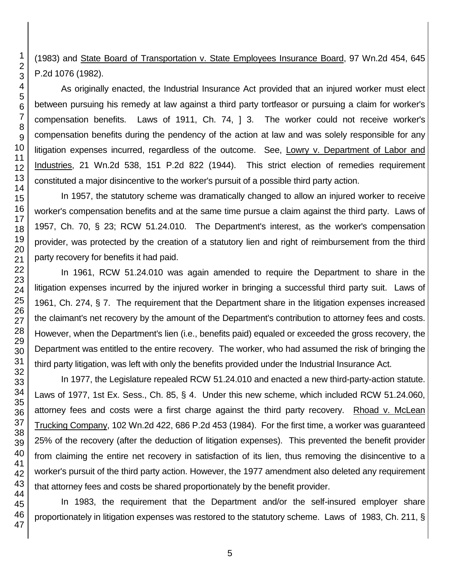(1983) and State Board of Transportation v. State Employees Insurance Board, 97 Wn.2d 454, 645 P.2d 1076 (1982).

As originally enacted, the Industrial Insurance Act provided that an injured worker must elect between pursuing his remedy at law against a third party tortfeasor or pursuing a claim for worker's compensation benefits. Laws of 1911, Ch. 74, ] 3. The worker could not receive worker's compensation benefits during the pendency of the action at law and was solely responsible for any litigation expenses incurred, regardless of the outcome. See, Lowry v. Department of Labor and Industries, 21 Wn.2d 538, 151 P.2d 822 (1944). This strict election of remedies requirement constituted a major disincentive to the worker's pursuit of a possible third party action.

In 1957, the statutory scheme was dramatically changed to allow an injured worker to receive worker's compensation benefits and at the same time pursue a claim against the third party. Laws of 1957, Ch. 70, § 23; RCW 51.24.010. The Department's interest, as the worker's compensation provider, was protected by the creation of a statutory lien and right of reimbursement from the third party recovery for benefits it had paid.

In 1961, RCW 51.24.010 was again amended to require the Department to share in the litigation expenses incurred by the injured worker in bringing a successful third party suit. Laws of 1961, Ch. 274, § 7. The requirement that the Department share in the litigation expenses increased the claimant's net recovery by the amount of the Department's contribution to attorney fees and costs. However, when the Department's lien (i.e., benefits paid) equaled or exceeded the gross recovery, the Department was entitled to the entire recovery. The worker, who had assumed the risk of bringing the third party litigation, was left with only the benefits provided under the Industrial Insurance Act.

In 1977, the Legislature repealed RCW 51.24.010 and enacted a new third-party-action statute. Laws of 1977, 1st Ex. Sess., Ch. 85, § 4. Under this new scheme, which included RCW 51.24.060, attorney fees and costs were a first charge against the third party recovery. Rhoad v. McLean Trucking Company, 102 Wn.2d 422, 686 P.2d 453 (1984). For the first time, a worker was guaranteed 25% of the recovery (after the deduction of litigation expenses). This prevented the benefit provider from claiming the entire net recovery in satisfaction of its lien, thus removing the disincentive to a worker's pursuit of the third party action. However, the 1977 amendment also deleted any requirement that attorney fees and costs be shared proportionately by the benefit provider.

In 1983, the requirement that the Department and/or the self-insured employer share proportionately in litigation expenses was restored to the statutory scheme. Laws of 1983, Ch. 211, §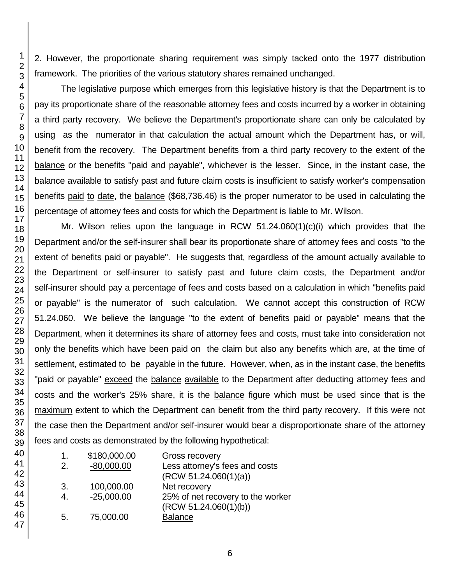2. However, the proportionate sharing requirement was simply tacked onto the 1977 distribution framework. The priorities of the various statutory shares remained unchanged.

The legislative purpose which emerges from this legislative history is that the Department is to pay its proportionate share of the reasonable attorney fees and costs incurred by a worker in obtaining a third party recovery. We believe the Department's proportionate share can only be calculated by using as the numerator in that calculation the actual amount which the Department has, or will, benefit from the recovery. The Department benefits from a third party recovery to the extent of the balance or the benefits "paid and payable", whichever is the lesser. Since, in the instant case, the balance available to satisfy past and future claim costs is insufficient to satisfy worker's compensation benefits paid to date, the balance (\$68,736.46) is the proper numerator to be used in calculating the percentage of attorney fees and costs for which the Department is liable to Mr. Wilson.

Mr. Wilson relies upon the language in RCW  $51.24.060(1)(c)(i)$  which provides that the Department and/or the self-insurer shall bear its proportionate share of attorney fees and costs "to the extent of benefits paid or payable". He suggests that, regardless of the amount actually available to the Department or self-insurer to satisfy past and future claim costs, the Department and/or self-insurer should pay a percentage of fees and costs based on a calculation in which "benefits paid or payable" is the numerator of such calculation. We cannot accept this construction of RCW 51.24.060. We believe the language "to the extent of benefits paid or payable" means that the Department, when it determines its share of attorney fees and costs, must take into consideration not only the benefits which have been paid on the claim but also any benefits which are, at the time of settlement, estimated to be payable in the future. However, when, as in the instant case, the benefits "paid or payable" exceed the balance available to the Department after deducting attorney fees and costs and the worker's 25% share, it is the balance figure which must be used since that is the maximum extent to which the Department can benefit from the third party recovery. If this were not the case then the Department and/or self-insurer would bear a disproportionate share of the attorney fees and costs as demonstrated by the following hypothetical:

| 1. | \$180,000.00 | Gross recovery                    |
|----|--------------|-----------------------------------|
| 2. | $-80,000.00$ | Less attorney's fees and costs    |
|    |              | (RCW 51.24.060(1)(a))             |
| 3. | 100,000.00   | Net recovery                      |
| 4. | $-25,000.00$ | 25% of net recovery to the worker |
|    |              | (RCW 51.24.060(1)(b))             |
| 5. | 75,000.00    | <b>Balance</b>                    |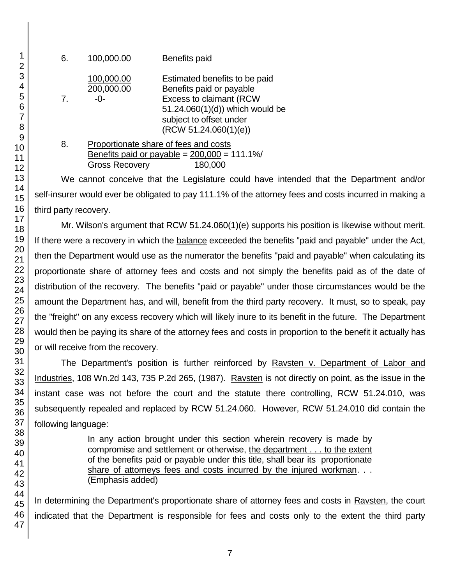| 6.             | 100,000.00                                                                                | Benefits paid                                                                                                                                                                      |
|----------------|-------------------------------------------------------------------------------------------|------------------------------------------------------------------------------------------------------------------------------------------------------------------------------------|
| 7 <sub>1</sub> | 100,000.00<br>200,000.00<br>-0-                                                           | Estimated benefits to be paid<br>Benefits paid or payable<br><b>Excess to claimant (RCW</b><br>51.24.060(1)(d)) which would be<br>subject to offset under<br>(RCW 51.24.060(1)(e)) |
| 8.             | Proportionate share of fees and costs<br>$P$ anofits poid as povable $-200,000 - 111,101$ |                                                                                                                                                                                    |

|                       | Benefits paid or payable = $200,000 = 111.1\%$ |
|-----------------------|------------------------------------------------|
| <b>Gross Recovery</b> | 180,000                                        |

We cannot conceive that the Legislature could have intended that the Department and/or self-insurer would ever be obligated to pay 111.1% of the attorney fees and costs incurred in making a third party recovery.

Mr. Wilson's argument that RCW 51.24.060(1)(e) supports his position is likewise without merit. If there were a recovery in which the balance exceeded the benefits "paid and payable" under the Act, then the Department would use as the numerator the benefits "paid and payable" when calculating its proportionate share of attorney fees and costs and not simply the benefits paid as of the date of distribution of the recovery. The benefits "paid or payable" under those circumstances would be the amount the Department has, and will, benefit from the third party recovery. It must, so to speak, pay the "freight" on any excess recovery which will likely inure to its benefit in the future. The Department would then be paying its share of the attorney fees and costs in proportion to the benefit it actually has or will receive from the recovery.

The Department's position is further reinforced by Ravsten v. Department of Labor and Industries, 108 Wn.2d 143, 735 P.2d 265, (1987). Ravsten is not directly on point, as the issue in the instant case was not before the court and the statute there controlling, RCW 51.24.010, was subsequently repealed and replaced by RCW 51.24.060. However, RCW 51.24.010 did contain the following language:

> In any action brought under this section wherein recovery is made by compromise and settlement or otherwise, the department . . . to the extent of the benefits paid or payable under this title, shall bear its proportionate share of attorneys fees and costs incurred by the injured workman. . . (Emphasis added)

In determining the Department's proportionate share of attorney fees and costs in Ravsten, the court indicated that the Department is responsible for fees and costs only to the extent the third party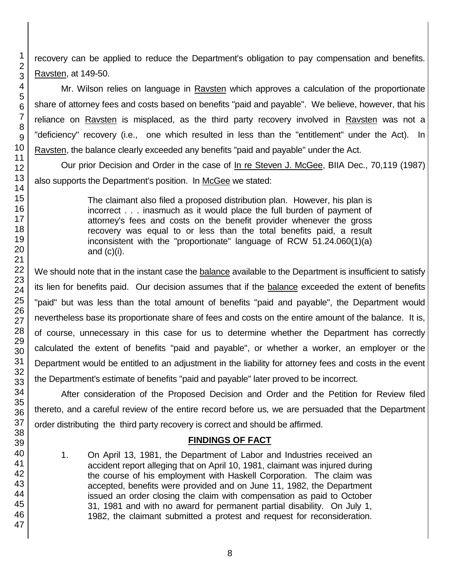recovery can be applied to reduce the Department's obligation to pay compensation and benefits. Ravsten, at 149-50.

Mr. Wilson relies on language in Ravsten which approves a calculation of the proportionate share of attorney fees and costs based on benefits "paid and payable". We believe, however, that his reliance on Ravsten is misplaced, as the third party recovery involved in Ravsten was not a "deficiency" recovery (i.e., one which resulted in less than the "entitlement" under the Act). In Ravsten, the balance clearly exceeded any benefits "paid and payable" under the Act.

Our prior Decision and Order in the case of In re Steven J. McGee, BIIA Dec., 70,119 (1987) also supports the Department's position. In McGee we stated:

> The claimant also filed a proposed distribution plan. However, his plan is incorrect . . . inasmuch as it would place the full burden of payment of attorney's fees and costs on the benefit provider whenever the gross recovery was equal to or less than the total benefits paid, a result inconsistent with the "proportionate" language of RCW 51.24.060(1)(a) and  $(c)(i)$ .

We should note that in the instant case the balance available to the Department is insufficient to satisfy its lien for benefits paid. Our decision assumes that if the balance exceeded the extent of benefits "paid" but was less than the total amount of benefits "paid and payable", the Department would nevertheless base its proportionate share of fees and costs on the entire amount of the balance. It is, of course, unnecessary in this case for us to determine whether the Department has correctly calculated the extent of benefits "paid and payable", or whether a worker, an employer or the Department would be entitled to an adjustment in the liability for attorney fees and costs in the event the Department's estimate of benefits "paid and payable" later proved to be incorrect.

After consideration of the Proposed Decision and Order and the Petition for Review filed thereto, and a careful review of the entire record before us, we are persuaded that the Department order distributing the third party recovery is correct and should be affirmed.

# **FINDINGS OF FACT**

1. On April 13, 1981, the Department of Labor and Industries received an accident report alleging that on April 10, 1981, claimant was injured during the course of his employment with Haskell Corporation. The claim was accepted, benefits were provided and on June 11, 1982, the Department issued an order closing the claim with compensation as paid to October 31, 1981 and with no award for permanent partial disability. On July 1, 1982, the claimant submitted a protest and request for reconsideration.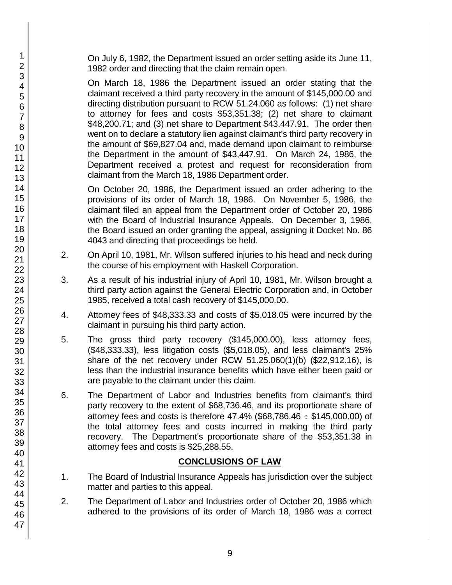On July 6, 1982, the Department issued an order setting aside its June 11, 1982 order and directing that the claim remain open.

On March 18, 1986 the Department issued an order stating that the claimant received a third party recovery in the amount of \$145,000.00 and directing distribution pursuant to RCW 51.24.060 as follows: (1) net share to attorney for fees and costs \$53,351.38; (2) net share to claimant \$48,200.71; and (3) net share to Department \$43.447.91. The order then went on to declare a statutory lien against claimant's third party recovery in the amount of \$69,827.04 and, made demand upon claimant to reimburse the Department in the amount of \$43,447.91. On March 24, 1986, the Department received a protest and request for reconsideration from claimant from the March 18, 1986 Department order.

On October 20, 1986, the Department issued an order adhering to the provisions of its order of March 18, 1986. On November 5, 1986, the claimant filed an appeal from the Department order of October 20, 1986 with the Board of Industrial Insurance Appeals. On December 3, 1986, the Board issued an order granting the appeal, assigning it Docket No. 86 4043 and directing that proceedings be held.

- 2. On April 10, 1981, Mr. Wilson suffered injuries to his head and neck during the course of his employment with Haskell Corporation.
- 3. As a result of his industrial injury of April 10, 1981, Mr. Wilson brought a third party action against the General Electric Corporation and, in October 1985, received a total cash recovery of \$145,000.00.
- 4. Attorney fees of \$48,333.33 and costs of \$5,018.05 were incurred by the claimant in pursuing his third party action.
- 5. The gross third party recovery (\$145,000.00), less attorney fees, (\$48,333.33), less litigation costs (\$5,018.05), and less claimant's 25% share of the net recovery under RCW 51.25.060(1)(b) (\$22,912.16), is less than the industrial insurance benefits which have either been paid or are payable to the claimant under this claim.
- 6. The Department of Labor and Industries benefits from claimant's third party recovery to the extent of \$68,736.46, and its proportionate share of attorney fees and costs is therefore  $47.4\%$  (\$68,786.46  $\div$  \$145,000.00) of the total attorney fees and costs incurred in making the third party recovery. The Department's proportionate share of the \$53,351.38 in attorney fees and costs is \$25,288.55.

# **CONCLUSIONS OF LAW**

- 1. The Board of Industrial Insurance Appeals has jurisdiction over the subject matter and parties to this appeal.
- 2. The Department of Labor and Industries order of October 20, 1986 which adhered to the provisions of its order of March 18, 1986 was a correct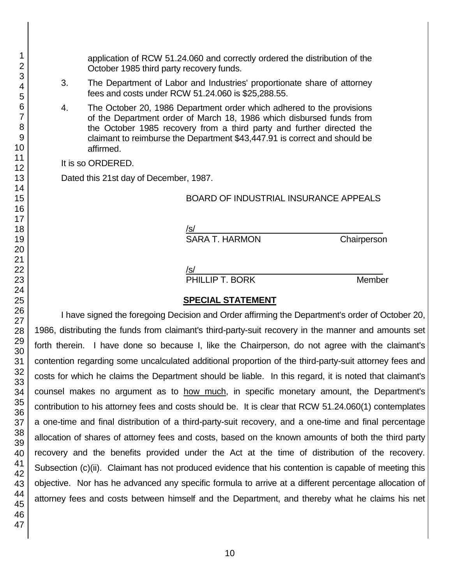application of RCW 51.24.060 and correctly ordered the distribution of the October 1985 third party recovery funds.

- 3. The Department of Labor and Industries' proportionate share of attorney fees and costs under RCW 51.24.060 is \$25,288.55.
- 4. The October 20, 1986 Department order which adhered to the provisions of the Department order of March 18, 1986 which disbursed funds from the October 1985 recovery from a third party and further directed the claimant to reimburse the Department \$43,447.91 is correct and should be affirmed.

It is so ORDERED.

Dated this 21st day of December, 1987.

#### BOARD OF INDUSTRIAL INSURANCE APPEALS

/s/  $\,$ 

SARA T. HARMON Chairperson

/s/  $\,$ 

PHILLIP T. BORK Member

#### **SPECIAL STATEMENT**

I have signed the foregoing Decision and Order affirming the Department's order of October 20, 1986, distributing the funds from claimant's third-party-suit recovery in the manner and amounts set forth therein. I have done so because I, like the Chairperson, do not agree with the claimant's contention regarding some uncalculated additional proportion of the third-party-suit attorney fees and costs for which he claims the Department should be liable. In this regard, it is noted that claimant's counsel makes no argument as to how much, in specific monetary amount, the Department's contribution to his attorney fees and costs should be. It is clear that RCW 51.24.060(1) contemplates a one-time and final distribution of a third-party-suit recovery, and a one-time and final percentage allocation of shares of attorney fees and costs, based on the known amounts of both the third party recovery and the benefits provided under the Act at the time of distribution of the recovery. Subsection (c)(ii). Claimant has not produced evidence that his contention is capable of meeting this objective. Nor has he advanced any specific formula to arrive at a different percentage allocation of attorney fees and costs between himself and the Department, and thereby what he claims his net